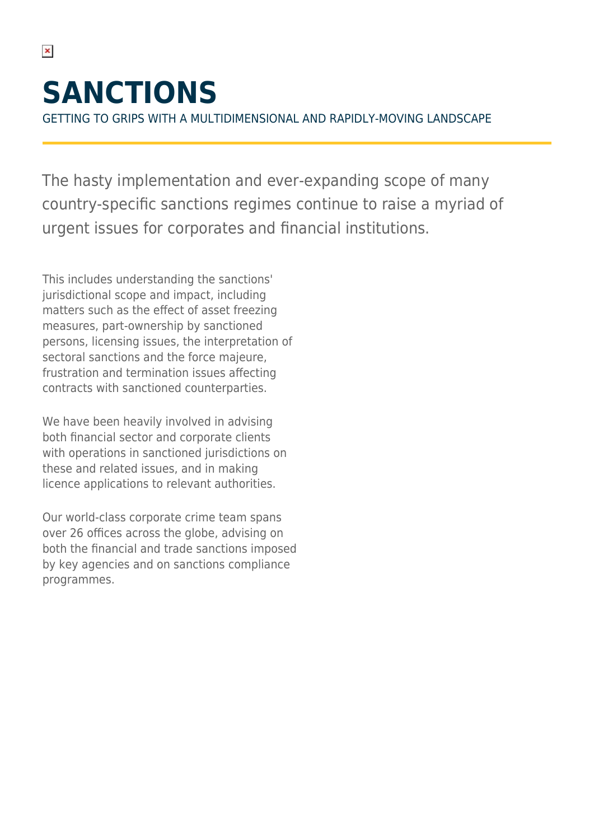# **SANCTIONS**

 $\pmb{\times}$ 

GETTING TO GRIPS WITH A MULTIDIMENSIONAL AND RAPIDLY-MOVING LANDSCAPE

The hasty implementation and ever-expanding scope of many country-specific sanctions regimes continue to raise a myriad of urgent issues for corporates and financial institutions.

This includes understanding the sanctions' jurisdictional scope and impact, including matters such as the effect of asset freezing measures, part-ownership by sanctioned persons, licensing issues, the interpretation of sectoral sanctions and the force majeure, frustration and termination issues affecting contracts with sanctioned counterparties.

We have been heavily involved in advising both financial sector and corporate clients with operations in sanctioned jurisdictions on these and related issues, and in making licence applications to relevant authorities.

Our world-class corporate crime team spans over 26 offices across the globe, advising on both the financial and trade sanctions imposed by key agencies and on sanctions compliance programmes.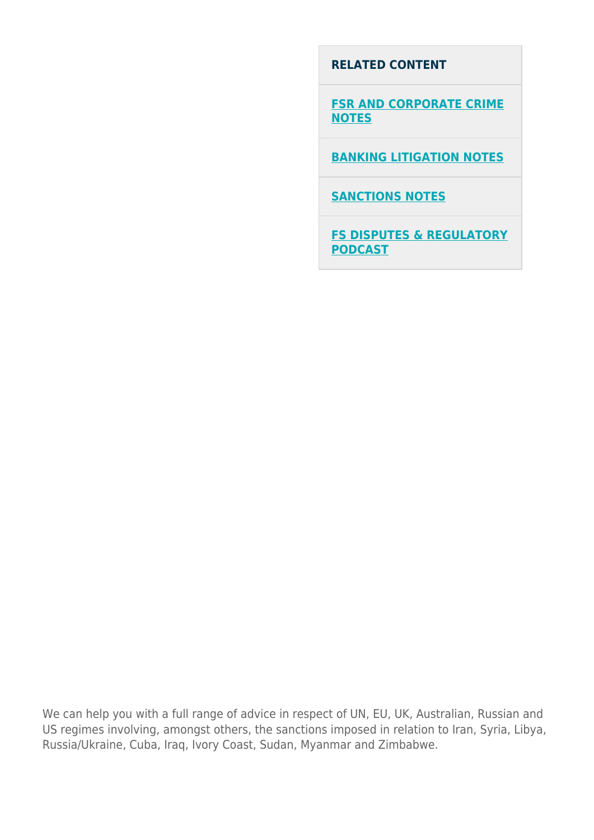#### **RELATED CONTENT**

**[FSR AND CORPORATE CRIME](https://hsfnotes.com/fsrandcorpcrime/) [NOTES](https://hsfnotes.com/fsrandcorpcrime/)**

**[BANKING LITIGATION NOTES](https://hsfnotes.com/bankinglitigation/)**

**[SANCTIONS NOTES](https://hsfnotes.com/sanctions/)**

**[FS DISPUTES & REGULATORY](https://www.herbertsmithfreehills.com/latest-thinking/financial-services-disputes-regulation-podcast) [PODCAST](https://www.herbertsmithfreehills.com/latest-thinking/financial-services-disputes-regulation-podcast)**

We can help you with a full range of advice in respect of UN, EU, UK, Australian, Russian and US regimes involving, amongst others, the sanctions imposed in relation to Iran, Syria, Libya, Russia/Ukraine, Cuba, Iraq, Ivory Coast, Sudan, Myanmar and Zimbabwe.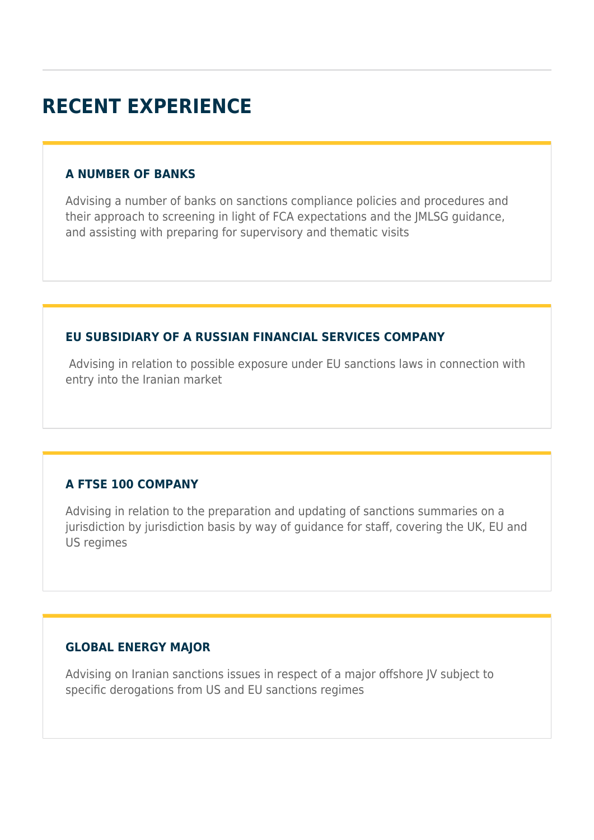## **RECENT EXPERIENCE**

#### **A NUMBER OF BANKS**

Advising a number of banks on sanctions compliance policies and procedures and their approach to screening in light of FCA expectations and the JMLSG guidance, and assisting with preparing for supervisory and thematic visits

#### **EU SUBSIDIARY OF A RUSSIAN FINANCIAL SERVICES COMPANY**

 Advising in relation to possible exposure under EU sanctions laws in connection with entry into the Iranian market

#### **A FTSE 100 COMPANY**

Advising in relation to the preparation and updating of sanctions summaries on a jurisdiction by jurisdiction basis by way of guidance for staff, covering the UK, EU and US regimes

#### **GLOBAL ENERGY MAJOR**

Advising on Iranian sanctions issues in respect of a major offshore JV subject to specific derogations from US and EU sanctions regimes